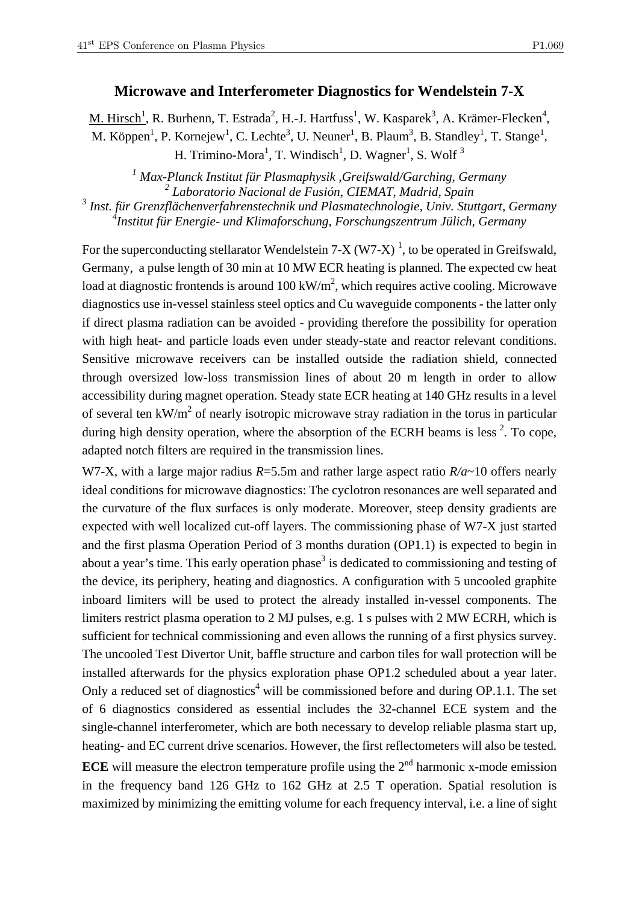## **Microwave and Interferometer Diagnostics for Wendelstein 7-X**

M. Hirsch<sup>1</sup>, R. Burhenn, T. Estrada<sup>2</sup>, H.-J. Hartfuss<sup>1</sup>, W. Kasparek<sup>3</sup>, A. Krämer-Flecken<sup>4</sup>, M. Köppen<sup>1</sup>, P. Kornejew<sup>1</sup>, C. Lechte<sup>3</sup>, U. Neuner<sup>1</sup>, B. Plaum<sup>3</sup>, B. Standley<sup>1</sup>, T. Stange<sup>1</sup>, H. Trimino-Mora<sup>1</sup>, T. Windisch<sup>1</sup>, D. Wagner<sup>1</sup>, S. Wolf<sup>3</sup>

*1 Max-Planck Institut für Plasmaphysik ,Greifswald/Garching, Germany 2 Laboratorio Nacional de Fusión, CIEMAT, Madrid, Spain 3 Inst. für Grenzflächenverfahrenstechnik und Plasmatechnologie, Univ. Stuttgart, Germany* 

*4 Institut für Energie- und Klimaforschung, Forschungszentrum Jülich, Germany* 

For the superconducting stellarator Wendelstein 7-X (W7-X)<sup>1</sup>, to be operated in Greifswald, Germany, a pulse length of 30 min at 10 MW ECR heating is planned. The expected cw heat load at diagnostic frontends is around  $100 \text{ kW/m}^2$ , which requires active cooling. Microwave diagnostics use in-vessel stainless steel optics and Cu waveguide components - the latter only if direct plasma radiation can be avoided - providing therefore the possibility for operation with high heat- and particle loads even under steady-state and reactor relevant conditions. Sensitive microwave receivers can be installed outside the radiation shield, connected through oversized low-loss transmission lines of about 20 m length in order to allow accessibility during magnet operation. Steady state ECR heating at 140 GHz results in a level of several ten  $kW/m^2$  of nearly isotropic microwave stray radiation in the torus in particular during high density operation, where the absorption of the ECRH beams is less  $2$ . To cope, adapted notch filters are required in the transmission lines.

W7-X, with a large major radius *R*=5.5m and rather large aspect ratio *R*/*a*~10 offers nearly ideal conditions for microwave diagnostics: The cyclotron resonances are well separated and the curvature of the flux surfaces is only moderate. Moreover, steep density gradients are expected with well localized cut-off layers. The commissioning phase of W7-X just started and the first plasma Operation Period of 3 months duration (OP1.1) is expected to begin in about a year's time. This early operation phase<sup>3</sup> is dedicated to commissioning and testing of the device, its periphery, heating and diagnostics. A configuration with 5 uncooled graphite inboard limiters will be used to protect the already installed in-vessel components. The limiters restrict plasma operation to 2 MJ pulses, e.g. 1 s pulses with 2 MW ECRH, which is sufficient for technical commissioning and even allows the running of a first physics survey. The uncooled Test Divertor Unit, baffle structure and carbon tiles for wall protection will be installed afterwards for the physics exploration phase OP1.2 scheduled about a year later. Only a reduced set of diagnostics<sup>4</sup> will be commissioned before and during OP.1.1. The set of 6 diagnostics considered as essential includes the 32-channel ECE system and the single-channel interferometer, which are both necessary to develop reliable plasma start up, heating- and EC current drive scenarios. However, the first reflectometers will also be tested. **ECE** will measure the electron temperature profile using the 2<sup>nd</sup> harmonic x-mode emission in the frequency band 126 GHz to 162 GHz at 2.5 T operation. Spatial resolution is maximized by minimizing the emitting volume for each frequency interval, i.e. a line of sight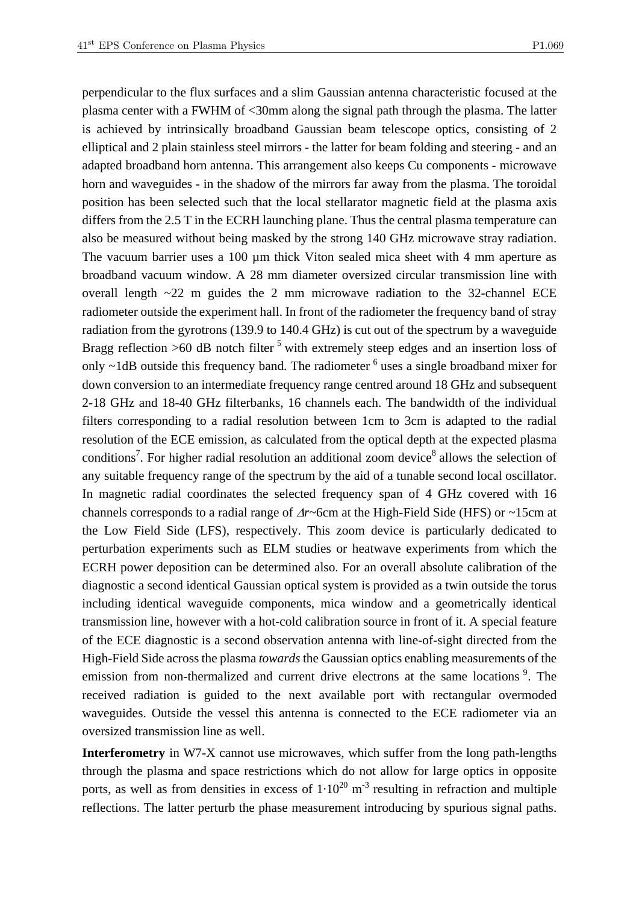perpendicular to the flux surfaces and a slim Gaussian antenna characteristic focused at the plasma center with a FWHM of <30mm along the signal path through the plasma. The latter is achieved by intrinsically broadband Gaussian beam telescope optics, consisting of 2 elliptical and 2 plain stainless steel mirrors - the latter for beam folding and steering - and an adapted broadband horn antenna. This arrangement also keeps Cu components - microwave horn and waveguides - in the shadow of the mirrors far away from the plasma. The toroidal position has been selected such that the local stellarator magnetic field at the plasma axis differs from the 2.5 T in the ECRH launching plane. Thus the central plasma temperature can also be measured without being masked by the strong 140 GHz microwave stray radiation. The vacuum barrier uses a 100 µm thick Viton sealed mica sheet with 4 mm aperture as broadband vacuum window. A 28 mm diameter oversized circular transmission line with overall length ~22 m guides the 2 mm microwave radiation to the 32-channel ECE radiometer outside the experiment hall. In front of the radiometer the frequency band of stray radiation from the gyrotrons (139.9 to 140.4 GHz) is cut out of the spectrum by a waveguide Bragg reflection  $>60$  dB notch filter  $<sup>5</sup>$  with extremely steep edges and an insertion loss of</sup> only  $\sim$ 1dB outside this frequency band. The radiometer  $\delta$  uses a single broadband mixer for down conversion to an intermediate frequency range centred around 18 GHz and subsequent 2-18 GHz and 18-40 GHz filterbanks, 16 channels each. The bandwidth of the individual filters corresponding to a radial resolution between 1cm to 3cm is adapted to the radial resolution of the ECE emission, as calculated from the optical depth at the expected plasma conditions<sup>7</sup>. For higher radial resolution an additional zoom device<sup>8</sup> allows the selection of any suitable frequency range of the spectrum by the aid of a tunable second local oscillator. In magnetic radial coordinates the selected frequency span of 4 GHz covered with 16 channels corresponds to a radial range of Δ*r*~6cm at the High-Field Side (HFS) or ~15cm at the Low Field Side (LFS), respectively. This zoom device is particularly dedicated to perturbation experiments such as ELM studies or heatwave experiments from which the ECRH power deposition can be determined also. For an overall absolute calibration of the diagnostic a second identical Gaussian optical system is provided as a twin outside the torus including identical waveguide components, mica window and a geometrically identical transmission line, however with a hot-cold calibration source in front of it. A special feature of the ECE diagnostic is a second observation antenna with line-of-sight directed from the High-Field Side across the plasma *towards* the Gaussian optics enabling measurements of the emission from non-thermalized and current drive electrons at the same locations<sup>9</sup>. The received radiation is guided to the next available port with rectangular overmoded waveguides. Outside the vessel this antenna is connected to the ECE radiometer via an oversized transmission line as well.

**Interferometry** in W7-X cannot use microwaves, which suffer from the long path-lengths through the plasma and space restrictions which do not allow for large optics in opposite ports, as well as from densities in excess of  $1 \cdot 10^{20}$  m<sup>-3</sup> resulting in refraction and multiple reflections. The latter perturb the phase measurement introducing by spurious signal paths.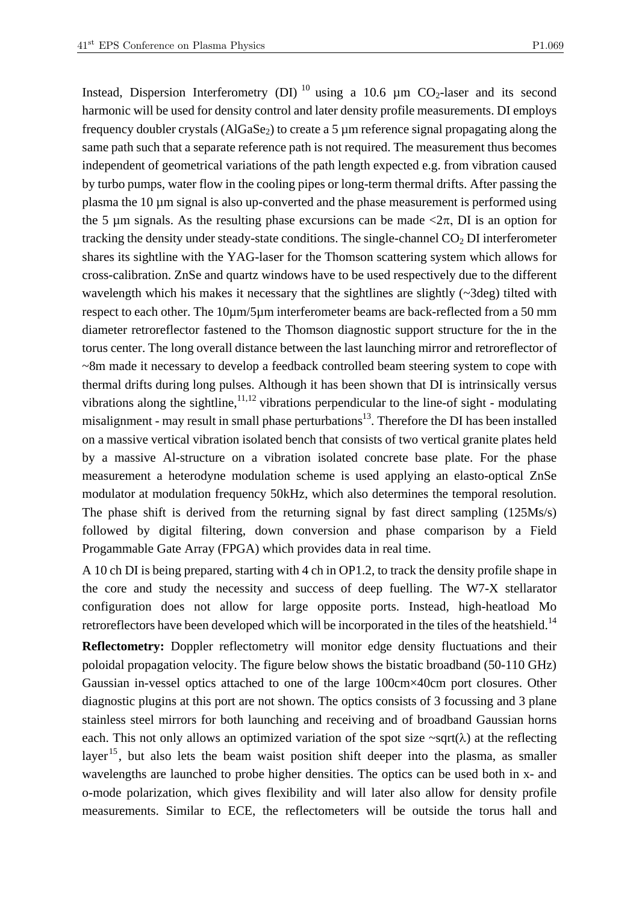Instead, Dispersion Interferometry (DI)<sup>10</sup> using a 10.6  $\mu$ m CO<sub>2</sub>-laser and its second harmonic will be used for density control and later density profile measurements. DI employs frequency doubler crystals ( $AIGaSe<sub>2</sub>$ ) to create a 5  $\mu$ m reference signal propagating along the same path such that a separate reference path is not required. The measurement thus becomes independent of geometrical variations of the path length expected e.g. from vibration caused by turbo pumps, water flow in the cooling pipes or long-term thermal drifts. After passing the plasma the 10 µm signal is also up-converted and the phase measurement is performed using the 5 µm signals. As the resulting phase excursions can be made  $\langle 2\pi, D\Gamma \rangle$  is an option for tracking the density under steady-state conditions. The single-channel  $CO<sub>2</sub>$  DI interferometer shares its sightline with the YAG-laser for the Thomson scattering system which allows for cross-calibration. ZnSe and quartz windows have to be used respectively due to the different wavelength which his makes it necessary that the sightlines are slightly  $(\sim 3 \text{deg})$  tilted with respect to each other. The 10µm/5µm interferometer beams are back-reflected from a 50 mm diameter retroreflector fastened to the Thomson diagnostic support structure for the in the torus center. The long overall distance between the last launching mirror and retroreflector of ~8m made it necessary to develop a feedback controlled beam steering system to cope with thermal drifts during long pulses. Although it has been shown that DI is intrinsically versus vibrations along the sightline,  $11,12$  vibrations perpendicular to the line-of sight - modulating misalignment - may result in small phase perturbations $13$ . Therefore the DI has been installed on a massive vertical vibration isolated bench that consists of two vertical granite plates held by a massive Al-structure on a vibration isolated concrete base plate. For the phase measurement a heterodyne modulation scheme is used applying an elasto-optical ZnSe modulator at modulation frequency 50kHz, which also determines the temporal resolution. The phase shift is derived from the returning signal by fast direct sampling (125Ms/s) followed by digital filtering, down conversion and phase comparison by a Field Progammable Gate Array (FPGA) which provides data in real time.

A 10 ch DI is being prepared, starting with 4 ch in OP1.2, to track the density profile shape in the core and study the necessity and success of deep fuelling. The W7-X stellarator configuration does not allow for large opposite ports. Instead, high-heatload Mo retroreflectors have been developed which will be incorporated in the tiles of the heatshield.<sup>14</sup>

**Reflectometry:** Doppler reflectometry will monitor edge density fluctuations and their poloidal propagation velocity. The figure below shows the bistatic broadband (50-110 GHz) Gaussian in-vessel optics attached to one of the large 100cm×40cm port closures. Other diagnostic plugins at this port are not shown. The optics consists of 3 focussing and 3 plane stainless steel mirrors for both launching and receiving and of broadband Gaussian horns each. This not only allows an optimized variation of the spot size  $\sim$ sqrt( $\lambda$ ) at the reflecting layer<sup>15</sup>, but also lets the beam waist position shift deeper into the plasma, as smaller wavelengths are launched to probe higher densities. The optics can be used both in x- and o-mode polarization, which gives flexibility and will later also allow for density profile measurements. Similar to ECE, the reflectometers will be outside the torus hall and